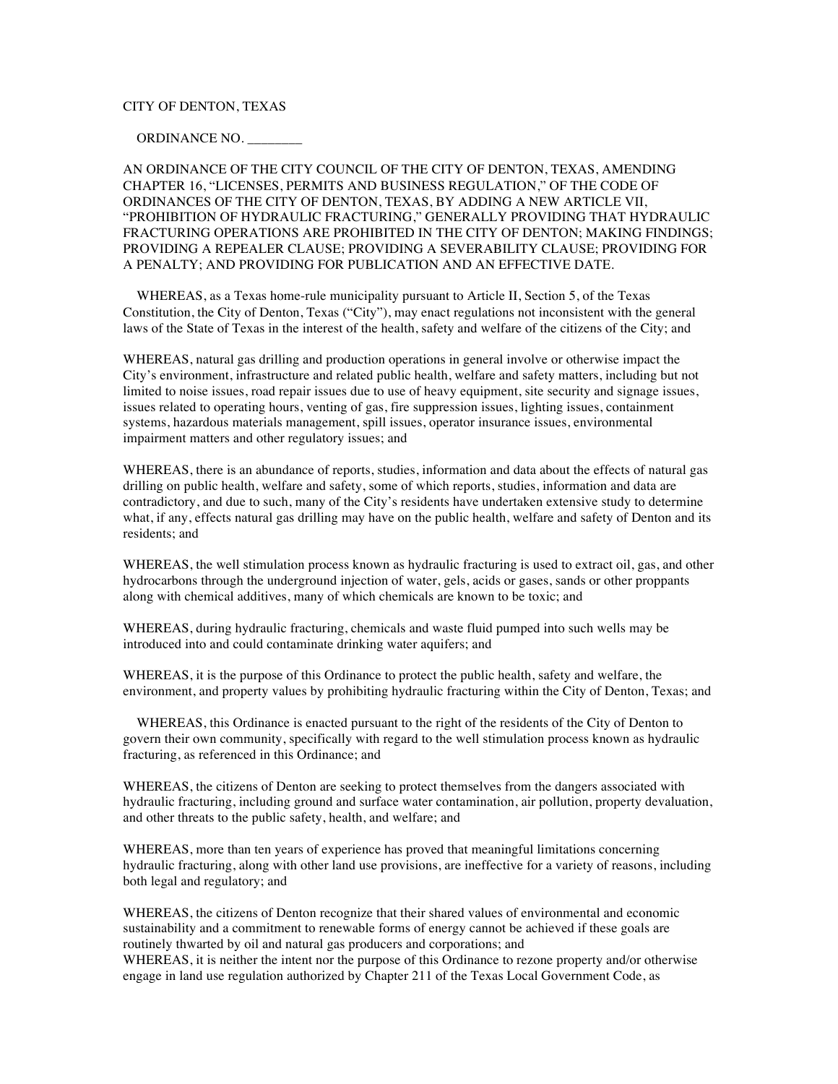# CITY OF DENTON, TEXAS

### ORDINANCE NO. \_\_\_\_\_\_\_\_

AN ORDINANCE OF THE CITY COUNCIL OF THE CITY OF DENTON, TEXAS, AMENDING CHAPTER 16, "LICENSES, PERMITS AND BUSINESS REGULATION," OF THE CODE OF ORDINANCES OF THE CITY OF DENTON, TEXAS, BY ADDING A NEW ARTICLE VII, "PROHIBITION OF HYDRAULIC FRACTURING," GENERALLY PROVIDING THAT HYDRAULIC FRACTURING OPERATIONS ARE PROHIBITED IN THE CITY OF DENTON; MAKING FINDINGS; PROVIDING A REPEALER CLAUSE; PROVIDING A SEVERABILITY CLAUSE; PROVIDING FOR A PENALTY; AND PROVIDING FOR PUBLICATION AND AN EFFECTIVE DATE.

 WHEREAS, as a Texas home-rule municipality pursuant to Article II, Section 5, of the Texas Constitution, the City of Denton, Texas ("City"), may enact regulations not inconsistent with the general laws of the State of Texas in the interest of the health, safety and welfare of the citizens of the City; and

WHEREAS, natural gas drilling and production operations in general involve or otherwise impact the City's environment, infrastructure and related public health, welfare and safety matters, including but not limited to noise issues, road repair issues due to use of heavy equipment, site security and signage issues, issues related to operating hours, venting of gas, fire suppression issues, lighting issues, containment systems, hazardous materials management, spill issues, operator insurance issues, environmental impairment matters and other regulatory issues; and

WHEREAS, there is an abundance of reports, studies, information and data about the effects of natural gas drilling on public health, welfare and safety, some of which reports, studies, information and data are contradictory, and due to such, many of the City's residents have undertaken extensive study to determine what, if any, effects natural gas drilling may have on the public health, welfare and safety of Denton and its residents; and

WHEREAS, the well stimulation process known as hydraulic fracturing is used to extract oil, gas, and other hydrocarbons through the underground injection of water, gels, acids or gases, sands or other proppants along with chemical additives, many of which chemicals are known to be toxic; and

WHEREAS, during hydraulic fracturing, chemicals and waste fluid pumped into such wells may be introduced into and could contaminate drinking water aquifers; and

WHEREAS, it is the purpose of this Ordinance to protect the public health, safety and welfare, the environment, and property values by prohibiting hydraulic fracturing within the City of Denton, Texas; and

 WHEREAS, this Ordinance is enacted pursuant to the right of the residents of the City of Denton to govern their own community, specifically with regard to the well stimulation process known as hydraulic fracturing, as referenced in this Ordinance; and

WHEREAS, the citizens of Denton are seeking to protect themselves from the dangers associated with hydraulic fracturing, including ground and surface water contamination, air pollution, property devaluation, and other threats to the public safety, health, and welfare; and

WHEREAS, more than ten years of experience has proved that meaningful limitations concerning hydraulic fracturing, along with other land use provisions, are ineffective for a variety of reasons, including both legal and regulatory; and

WHEREAS, the citizens of Denton recognize that their shared values of environmental and economic sustainability and a commitment to renewable forms of energy cannot be achieved if these goals are routinely thwarted by oil and natural gas producers and corporations; and

WHEREAS, it is neither the intent nor the purpose of this Ordinance to rezone property and/or otherwise engage in land use regulation authorized by Chapter 211 of the Texas Local Government Code, as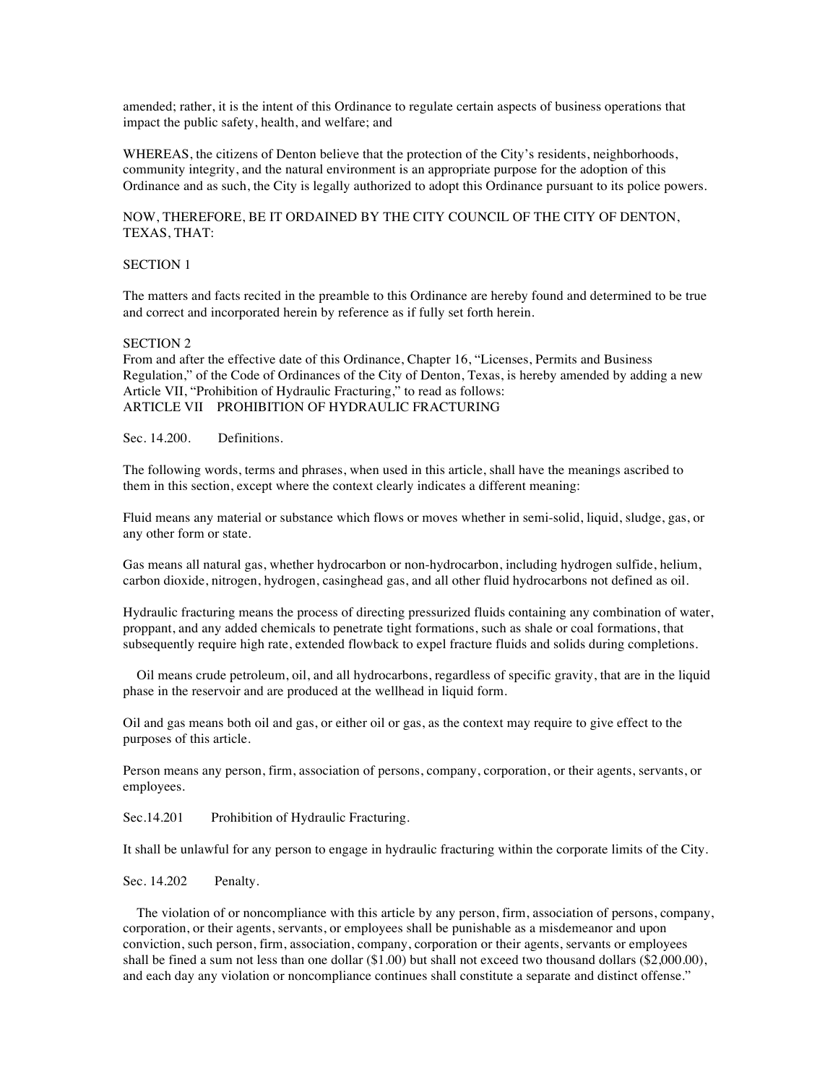amended; rather, it is the intent of this Ordinance to regulate certain aspects of business operations that impact the public safety, health, and welfare; and

WHEREAS, the citizens of Denton believe that the protection of the City's residents, neighborhoods, community integrity, and the natural environment is an appropriate purpose for the adoption of this Ordinance and as such, the City is legally authorized to adopt this Ordinance pursuant to its police powers.

## NOW, THEREFORE, BE IT ORDAINED BY THE CITY COUNCIL OF THE CITY OF DENTON, TEXAS, THAT:

### SECTION 1

The matters and facts recited in the preamble to this Ordinance are hereby found and determined to be true and correct and incorporated herein by reference as if fully set forth herein.

#### SECTION 2

From and after the effective date of this Ordinance, Chapter 16, "Licenses, Permits and Business Regulation," of the Code of Ordinances of the City of Denton, Texas, is hereby amended by adding a new Article VII, "Prohibition of Hydraulic Fracturing," to read as follows: ARTICLE VII PROHIBITION OF HYDRAULIC FRACTURING

Sec. 14.200. Definitions.

The following words, terms and phrases, when used in this article, shall have the meanings ascribed to them in this section, except where the context clearly indicates a different meaning:

Fluid means any material or substance which flows or moves whether in semi-solid, liquid, sludge, gas, or any other form or state.

Gas means all natural gas, whether hydrocarbon or non-hydrocarbon, including hydrogen sulfide, helium, carbon dioxide, nitrogen, hydrogen, casinghead gas, and all other fluid hydrocarbons not defined as oil.

Hydraulic fracturing means the process of directing pressurized fluids containing any combination of water, proppant, and any added chemicals to penetrate tight formations, such as shale or coal formations, that subsequently require high rate, extended flowback to expel fracture fluids and solids during completions.

 Oil means crude petroleum, oil, and all hydrocarbons, regardless of specific gravity, that are in the liquid phase in the reservoir and are produced at the wellhead in liquid form.

Oil and gas means both oil and gas, or either oil or gas, as the context may require to give effect to the purposes of this article.

Person means any person, firm, association of persons, company, corporation, or their agents, servants, or employees.

Sec.14.201 Prohibition of Hydraulic Fracturing.

It shall be unlawful for any person to engage in hydraulic fracturing within the corporate limits of the City.

Sec. 14.202 Penalty.

 The violation of or noncompliance with this article by any person, firm, association of persons, company, corporation, or their agents, servants, or employees shall be punishable as a misdemeanor and upon conviction, such person, firm, association, company, corporation or their agents, servants or employees shall be fined a sum not less than one dollar (\$1.00) but shall not exceed two thousand dollars (\$2,000.00), and each day any violation or noncompliance continues shall constitute a separate and distinct offense."